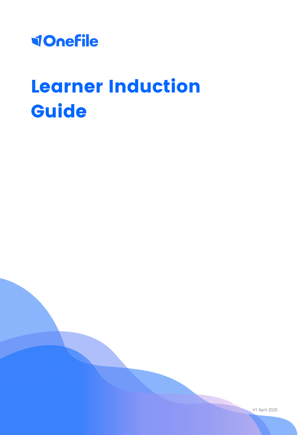

# Learner Induction Guide

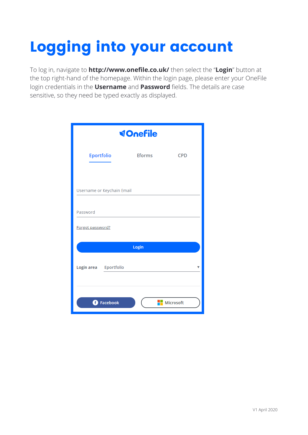# Logging into your account

To log in, navigate to **http://www.onefile.co.uk/** then select the "**Login**" button at the top right-hand of the homepage. Within the login page, please enter your OneFile login credentials in the **Username** and **Password** fields. The details are case sensitive, so they need be typed exactly as displayed.

|                            | <b>VOnefile</b> |            |  |  |  |
|----------------------------|-----------------|------------|--|--|--|
| <b>Eportfolio</b>          | <b>Eforms</b>   | <b>CPD</b> |  |  |  |
|                            |                 |            |  |  |  |
| Username or Keychain Email |                 |            |  |  |  |
| Password                   |                 |            |  |  |  |
| Forgot password?           |                 |            |  |  |  |
|                            | Login           |            |  |  |  |
| Login area<br>Eportfolio   |                 |            |  |  |  |
| <b>O</b> Facebook          |                 | Microsoft  |  |  |  |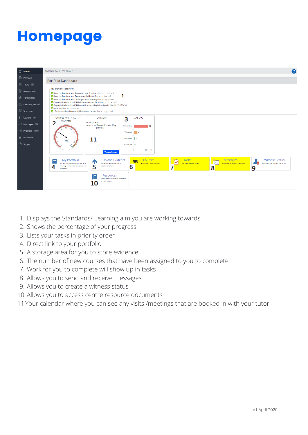### Homepage



- 1. Displays the Standards/ Learning aim you are working towards
- 2. Shows the percentage of your progress
- 3. Lists your tasks in priority order
- 4. Direct link to your portfolio
- A storage area for you to store evidence 5.
- The number of new courses that have been assigned to you to complete 6.
- Work for you to complete will show up in tasks 7.
- Allows you to send and receive messages 8.
- Allows you to create a witness status 9.
- Allows you to access centre resource documents 10.
- 11. Your calendar where you can see any visits /meetings that are booked in with your tutor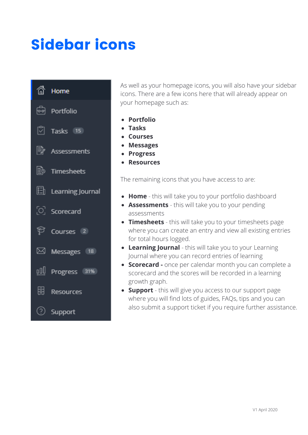### Sidebar icons



As well as your homepage icons, you will also have your sidebar icons. There are a few icons here that will already appear on your homepage such as:

- **Portfolio**
- **Tasks**
- **Courses**
- **Messages**
- **Progress**
- **Resources**

The remaining icons that you have access to are:

- **Home**  this will take you to your portfolio dashboard
- **Assessments** this will take you to your pending assessments
- **Timesheets** this will take you to your timesheets page where you can create an entry and view all existing entries for total hours logged.
- **Learning Journal**  this will take you to your Learning Journal where you can record entries of learning
- **Scorecard -** once per calendar month you can complete a scorecard and the scores will be recorded in a learning growth graph.
- **Support** this will give you access to our support page where you will find lots of guides, FAQs, tips and you can also submit a support ticket if you require further assistance.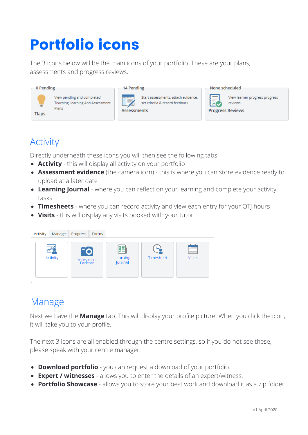### Portfolio icons

The 3 icons below will be the main icons of your portfolio. These are your plans, assessments and progress reviews.

| $-$ 0 Pending                                                                           | 14 Pending                                                                                                                                                  | None scheduled                                                                                                                                                                                                                                                                                                                                                                                                                                                                                                                                                                                                      |
|-----------------------------------------------------------------------------------------|-------------------------------------------------------------------------------------------------------------------------------------------------------------|---------------------------------------------------------------------------------------------------------------------------------------------------------------------------------------------------------------------------------------------------------------------------------------------------------------------------------------------------------------------------------------------------------------------------------------------------------------------------------------------------------------------------------------------------------------------------------------------------------------------|
| View pending and completed<br>Teaching Learning And Assessment<br>Plans<br><b>Tlaps</b> | Start assessments, attach evidence,<br>200000<br>$\qquad \qquad =\qquad$<br>$\frac{1}{2}$<br>set criteria & record feedback<br>$\sim$<br><b>Assessments</b> | $\qquad \qquad \overline{\qquad \qquad }%$<br>View learner progress progress<br>3 = 1<br>$\frac{1}{2} \left( \frac{1}{2} \right) \left( \frac{1}{2} \right) \left( \frac{1}{2} \right) \left( \frac{1}{2} \right) \left( \frac{1}{2} \right) \left( \frac{1}{2} \right) \left( \frac{1}{2} \right) \left( \frac{1}{2} \right) \left( \frac{1}{2} \right) \left( \frac{1}{2} \right) \left( \frac{1}{2} \right) \left( \frac{1}{2} \right) \left( \frac{1}{2} \right) \left( \frac{1}{2} \right) \left( \frac{1}{2} \right) \left( \frac{1}{2} \right) \left( \frac$<br>$\sim$<br>reviews<br><b>Progress Reviews</b> |

#### Activity

Directly underneath these icons you will then see the following tabs.

- **Activity**  this will display all activity on your portfolio
- **Assessment evidence** (the camera icon) this is where you can store evidence ready to upload at a later date
- **Learning Journal** where you can reflect on your learning and complete your activity tasks
- **Timesheets** where you can record activity and view each entry for your OTJ hours
- **Visits**  this will display any visits booked with your tutor.



### Manage

Next we have the **Manage** tab. This will display your profile picture. When you click the icon, it will take you to your profile.

The next 3 icons are all enabled through the centre settings, so if you do not see these, please speak with your centre manager.

- **Download portfolio** you can request a download of your portfolio.
- **Expert / witnesses**  allows you to enter the details of an expert/witness.
- **Portfolio Showcase**  allows you to store your best work and download it as a zip folder.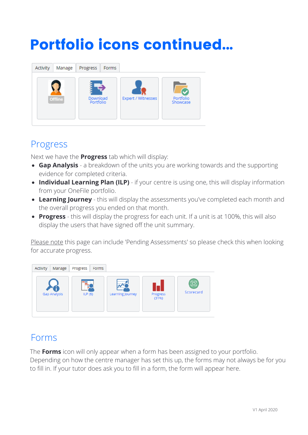### Portfolio icons continued...



#### Progress

Next we have the **Progress** tab which will display:

- **Gap Analysis**  a breakdown of the units you are working towards and the supporting evidence for completed criteria.
- **Individual Learning Plan (ILP)** if your centre is using one, this will display information from your OneFile portfolio.
- **Learning Journey** this will display the assessments you've completed each month and the overall progress you ended on that month.
- **Progress**  this will display the progress for each unit. If a unit is at 100%, this will also display the users that have signed off the unit summary.

Please note this page can include 'Pending Assessments' so please check this when looking for accurate progress.



#### Forms

The **Forms** icon will only appear when a form has been assigned to your portfolio. Depending on how the centre manager has set this up, the forms may not always be for you to fill in. If your tutor does ask you to fill in a form, the form will appear here.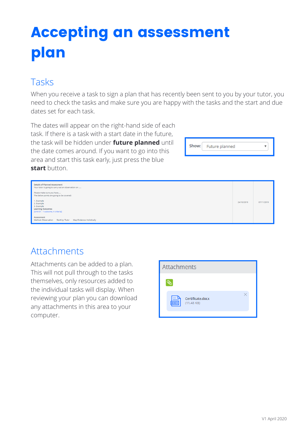## Accepting an assessment plan

### Tasks

When you receive a task to sign a plan that has recently been sent to you by your tutor, you need to check the tasks and make sure you are happy with the tasks and the start and due dates set for each task.

The dates will appear on the right-hand side of each task. If there is a task with a start date in the future, the task will be hidden under **future planned** until the date comes around. If you want to go into this area and start this task early, just press the blue **start** button.



| <b>Details of Planned Assessment</b><br>Your tutor is going to carry out an observation on<br>Please make sure you have<br>The below points are going to be covered: |            |            |
|----------------------------------------------------------------------------------------------------------------------------------------------------------------------|------------|------------|
| 1. Example<br>2. Example<br>3. Example<br><b>Learning Outcomes</b><br>[Unit 01 - 1 outcome, 4 criteria]                                                              | 24/10/2019 | 07/11/2019 |
| Assessment<br>Method: Observation Start by: Tutor Map Evidence: Holistically                                                                                         |            |            |

### Attachments

Attachments can be added to a plan. This will not pull through to the tasks themselves, only resources added to the individual tasks will display. When reviewing your plan you can download any attachments in this area to your computer.

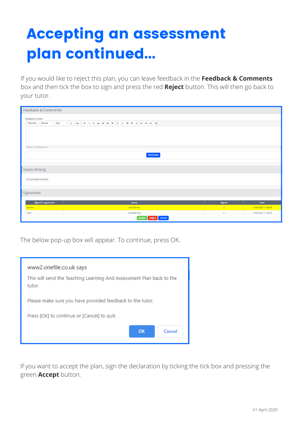### Accepting an assessment plan continued...

If you would like to reject this plan, you can leave feedback in the **Feedback & Comments** box and then tick the box to sign and press the red **Reject** button. This will then go back to your tutor.

| Feedback & Comments                                         |                                     |                               |                                            |
|-------------------------------------------------------------|-------------------------------------|-------------------------------|--------------------------------------------|
| <b>Feedback to Tutor:</b><br>$+ 16px$<br>"Times Ne » Normal |                                     |                               |                                            |
| Words: 0 Characters: 0                                      | <b>Send Now</b>                     |                               |                                            |
| <b>Issues Arising</b>                                       |                                     |                               |                                            |
| No comments provided                                        |                                     |                               |                                            |
| Signatures                                                  |                                     |                               |                                            |
| <b>Signed in agreement</b>                                  | Name                                | Signed                        | Date                                       |
| Learner<br>Tutor                                            | Leah Earner<br><b>Everette King</b> | $\Box$<br>$\overline{\omega}$ | 14/04/2020 11:48:29<br>14/04/2020 11:48:18 |
|                                                             | Reject Cancel<br><b>Accept</b>      |                               |                                            |

The below pop-up box will appear. To continue, press OK.

| www2.onefile.co.uk says<br>This will send the Teaching Learning And Assessment Plan back to the<br>tutor. |  |  |
|-----------------------------------------------------------------------------------------------------------|--|--|
| Please make sure you have provided feedback to the tutor.                                                 |  |  |
| Press [OK] to continue or [Cancel] to quit.                                                               |  |  |
| $\alpha$<br>Cancel                                                                                        |  |  |

If you want to accept the plan, sign the declaration by ticking the tick box and pressing the green **Accept** button.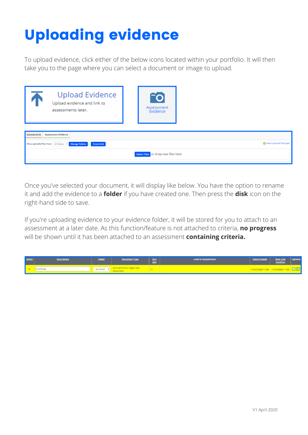## Uploading evidence

To upload evidence, click either of the below icons located within your portfolio. It will then take you to the page where you can select a document or image to upload.

| <b>Upload Evidence</b><br>Upload evidence and link to<br>assessments later.  | TO.<br>Assessment<br>Evidence       |                           |
|------------------------------------------------------------------------------|-------------------------------------|---------------------------|
| <b>Assessment Evidence</b><br><b>Assessments</b>                             |                                     |                           |
| Show uploaded files from: All folders v Manage Folders<br><b>Create Link</b> |                                     | View supported file types |
|                                                                              | Select Files or drop new files here |                           |

Once you've selected your document, it will display like below. You have the option to rename it and add the evidence to a **folder** if you have created one. Then press the **disk** icon on the right-hand side to save.

If you're uploading evidence to your evidence folder, it will be stored for you to attach to an assessment at a later date. As this function/feature is not attached to criteria, **no progress** will be shown until it has been attached to an assessment **containing criteria.**

| Select | <b>Description</b> | <b>Folder</b> | <b>Document Type</b>    | <b>Size</b><br>(KB) | <b>Used in Assessments</b> | <b>Date Created</b> | <b>Date Last</b><br><b>Modified</b>   | <b>Rptions</b> |
|--------|--------------------|---------------|-------------------------|---------------------|----------------------------|---------------------|---------------------------------------|----------------|
|        | Certificate        | No folder     | Microsoft Word Open XML |                     |                            |                     | 14/04/2020 11:58 14/04/2020 11:58 日 X |                |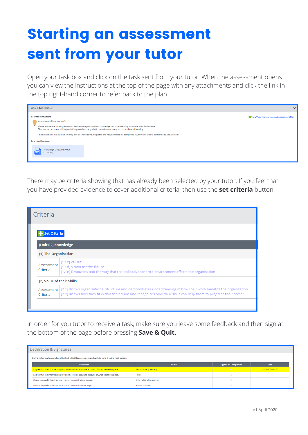### Starting an assessment sent from your tutor

Open your task box and click on the task sent from your tutor. When the assessment opens you can view the instructions at the top of the page with any attachments and click the link in the top right-hand corner to refer back to the plan.

| Task Overview                                                                                                                                                                                                                                  | $\checkmark$                               |
|------------------------------------------------------------------------------------------------------------------------------------------------------------------------------------------------------------------------------------------------|--------------------------------------------|
| <b>Learner Instructions</b><br>Assessment of Learning no 1:                                                                                                                                                                                    | View Teaching Learning And Assessment Plan |
| Please answer the listed questions to demonstrate your depth of knowledge and understanding within the identified criteria.<br>This mock assessment will be predictive graded (mock grade) to help demonstrate your current level of learning. |                                            |
| The outcome of this assessment may also be linked to your diploma and may demonstrate competence within unit criteria confirmed by the assessor                                                                                                |                                            |
| <b>Learning Resources</b>                                                                                                                                                                                                                      |                                            |
| ⋿<br><b>Knowledge Questions.docx</b><br>(11.38 KB)                                                                                                                                                                                             |                                            |
|                                                                                                                                                                                                                                                |                                            |

There may be criteria showing that has already been selected by your tutor. If you feel that you have provided evidence to cover additional criteria, then use the **set criteria** button.

| Criteria                  |                                                                                                                                                                                                                                                   |
|---------------------------|---------------------------------------------------------------------------------------------------------------------------------------------------------------------------------------------------------------------------------------------------|
| <b>Set Criteria</b>       |                                                                                                                                                                                                                                                   |
| [Unit 02] Knowledge       |                                                                                                                                                                                                                                                   |
| [1] The Organisation      |                                                                                                                                                                                                                                                   |
| Assessment<br>Criteria    | [1.1c] Values<br>[1.1d] Vision for the future<br>[1.1e] Resources and the way that the political/economic environment affects the organisation                                                                                                    |
| [2] Value of their Skills |                                                                                                                                                                                                                                                   |
| Criteria                  | Assessment   [2.1] Knows organisational structure and demonstrates understanding of how their work benefits the organisation<br>[2.2] Knows how they fit within their team and recognises how their skills can help them to progress their career |
|                           |                                                                                                                                                                                                                                                   |

In order for you tutor to receive a task, make sure you leave some feedback and then sign at the bottom of the page before pressing **Save & Quit.**

| Declaration & Signatures                                                                           |                          |                             |                  |  |  |  |
|----------------------------------------------------------------------------------------------------|--------------------------|-----------------------------|------------------|--|--|--|
| Only sign here when you have finished with this assessment and wish to send it to the next person. |                          |                             |                  |  |  |  |
| <b>Declaration</b>                                                                                 | Name                     | <b>Signed on Completion</b> | <b>Date</b>      |  |  |  |
| I agree that the information provided here is an accurate account of what has taken place.         | Leah Earner (Learner)    | $\Box$                      | 14/04/2020 15:30 |  |  |  |
| I agree that the information provided here is an accurate account of what has taken place.         | Tutor                    | $\Box$                      |                  |  |  |  |
| I have sampled this evidence as part of my verification sample.                                    | Internal Quality Assurer | $\Box$                      |                  |  |  |  |
| I have sampled this evidence as part of my verification sample.                                    | <b>External Verifier</b> | $\qquad \qquad \Box$        |                  |  |  |  |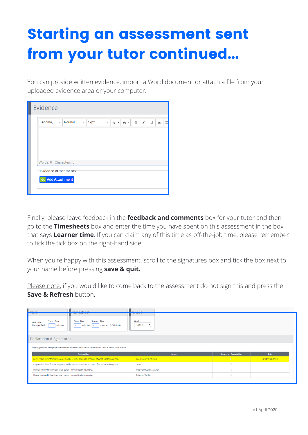### Starting an assessment sent from your tutor continued...

You can provide written evidence, import a Word document or attach a file from your uploaded evidence area or your computer.

| Evidence                                    |                                                       |                                                       |
|---------------------------------------------|-------------------------------------------------------|-------------------------------------------------------|
| Tahoma, $\ldots$ $\bullet$ Normal $\bullet$ | 12px $\mathbf{A} \cdot  \mathbf{A} \cdot \mathbf{B} $ | $\sqcup$<br>$\mathbf{B}$<br>$\mathcal{I}$<br>F<br>abc |
|                                             |                                                       |                                                       |
|                                             |                                                       |                                                       |
|                                             |                                                       |                                                       |
| Words: 0 Characters: 0                      |                                                       |                                                       |
| <b>Evidence Attachments</b>                 |                                                       |                                                       |
| <b>Add Attachment</b>                       |                                                       |                                                       |
|                                             |                                                       |                                                       |

Finally, please leave feedback in the **feedback and comments** box for your tutor and then go to the **Timesheets** box and enter the time you have spent on this assessment in the box that says **Learner time**. If you can claim any of this time as off-the-job time, please remember to tick the tick box on the right-hand side.

When you're happy with this assessment, scroll to the signatures box and tick the box next to your name before pressing **save & quit.**

Please note: if you would like to come back to the assessment do not sign this and press the **Save & Refresh button.** 

| $N$ Geit<br>Timochoot                                                                                                                                                         | $C$ rado                      |                             |                  |  |  |
|-------------------------------------------------------------------------------------------------------------------------------------------------------------------------------|-------------------------------|-----------------------------|------------------|--|--|
| <b>Travel Time:</b><br><b>Tutor Time:</b><br><b>Learner Time:</b><br>Grade:<br>Visit Type:<br>Not Set<br>Off-the-job<br>Not specified<br>minutes<br>minutes<br>minutes<br>lo. |                               |                             |                  |  |  |
| Declaration & Signatures                                                                                                                                                      |                               |                             |                  |  |  |
| Only sign here when you have finished with this assessment and wish to send it to the next person.                                                                            |                               |                             |                  |  |  |
| <b>Declaration</b>                                                                                                                                                            | <b>Name</b>                   | <b>Signed on Completion</b> | Date             |  |  |
| agree that the information provided here is an accurate account of what has taken place.                                                                                      | Leah Earner (Learner)         | $\Box$                      | 14/04/2020 15:30 |  |  |
| I agree that the information provided here is an accurate account of what has taken place.                                                                                    | $\qquad \qquad \Box$<br>Tutor |                             |                  |  |  |
| I have sampled this evidence as part of my verification sample.                                                                                                               | Internal Quality Assurer      | $\Box$                      |                  |  |  |
| I have sampled this evidence as part of my verification sample.                                                                                                               | <b>External Verifier</b>      | $\qquad \qquad \Box$        |                  |  |  |
|                                                                                                                                                                               |                               |                             |                  |  |  |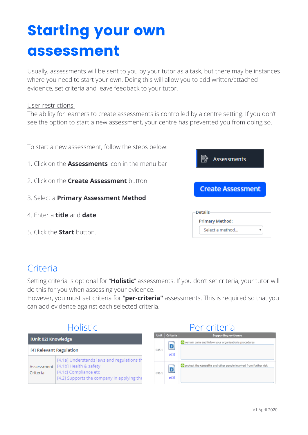### Starting your own assessment

Usually, assessments will be sent to you by your tutor as a task, but there may be instances where you need to start your own. Doing this will allow you to add written/attached evidence, set criteria and leave feedback to your tutor.

#### User restrictions

The ability for learners to create assessments is controlled by a centre setting. If you don't see the option to start a new assessment, your centre has prevented you from doing so.

| To start a new assessment, follow the steps below:      |                                          |
|---------------------------------------------------------|------------------------------------------|
| 1. Click on the <b>Assessments</b> icon in the menu bar | ⊯<br><b>Assessments</b>                  |
| 2. Click on the <b>Create Assessment</b> button         | <b>Create Assessment</b>                 |
| 3. Select a <b>Primary Assessment Method</b>            |                                          |
| 4. Enter a <b>title</b> and <b>date</b>                 | <b>Details</b><br><b>Primary Method:</b> |
| 5. Click the <b>Start</b> button.                       | Select a method                          |

#### **Criteria**

Setting criteria is optional for "**Holistic**" assessments. If you don't set criteria, your tutor will do this for you when assessing your evidence.

However, you must set criteria for "**per-criteria"** assessments. This is required so that you can add evidence against each selected criteria.

| <b>Holistic</b>         |                                                                                                                                             |       | Per criteria  |                                                                                                   |  |
|-------------------------|---------------------------------------------------------------------------------------------------------------------------------------------|-------|---------------|---------------------------------------------------------------------------------------------------|--|
| [Unit 02] Knowledge     |                                                                                                                                             |       | Unit Criteria | <b>Supporting evidence</b><br>$\rightarrow$ remain calm and follow your organisation's procedures |  |
| [4] Relevant Regulation |                                                                                                                                             | C35.1 | D<br>pc[1]    |                                                                                                   |  |
| Assessment<br>Criteria  | [4.1a] Understands laws and regulations th<br>[4.1b] Health & safety<br>[4.1c] Compliance etc<br>[4.2] Supports the company in applying the | C35.1 | D<br>pc[2]    | $\rightarrow$ protect the casualty and other people involved from further risk                    |  |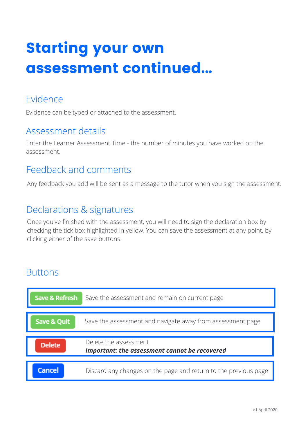### Starting your own assessment continued...

#### Evidence

Evidence can be typed or attached to the assessment.

#### Assessment details

Enter the Learner Assessment Time - the number of minutes you have worked on the assessment.

#### Feedback and comments

Any feedback you add will be sent as a message to the tutor when you sign the assessment.

#### Declarations & signatures

Once you've finished with the assessment, you will need to sign the declaration box by checking the tick box highlighted in yellow. You can save the assessment at any point, by clicking either of the save buttons.

#### **Buttons**

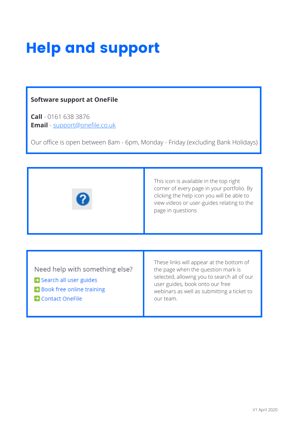### Help and support

#### **Software support at OneFile**

**Call** - 0161 638 3876 **Email** - support@onefile.co.uk

Our office is open between 8am - 6pm, Monday - Friday (excluding Bank Holidays)



This icon is available in the top right corner of every page in your portfolio. By clicking the help icon you will be able to view videos or user-guides relating to the page in questions

Need help with something else?

- Search all user guides
- > Book free online training
- Contact OneFile

These links will appear at the bottom of the page when the question mark is selected, allowing you to search all of our user guides, book onto our free webinars as well as submitting a ticket to our team.